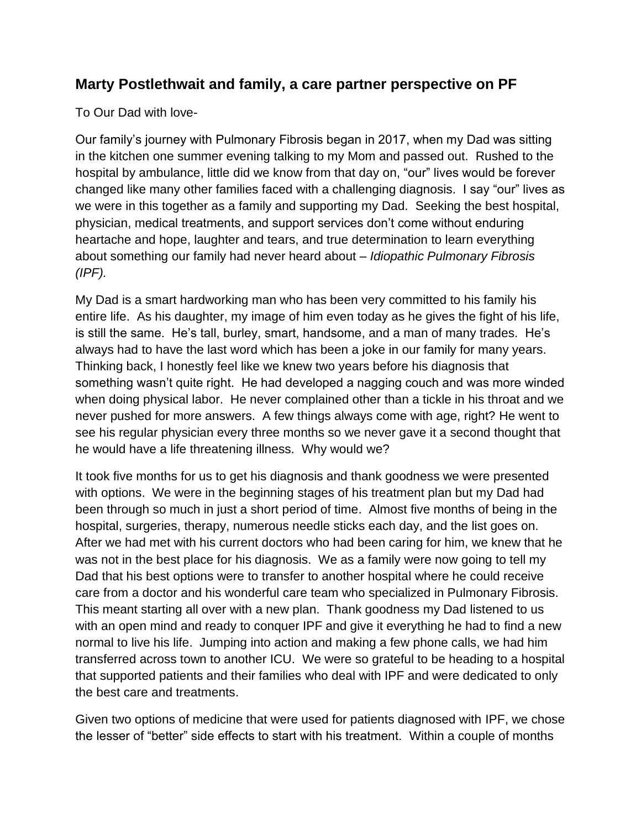## **Marty Postlethwait and family, a care partner perspective on PF**

To Our Dad with love-

Our family's journey with Pulmonary Fibrosis began in 2017, when my Dad was sitting in the kitchen one summer evening talking to my Mom and passed out. Rushed to the hospital by ambulance, little did we know from that day on, "our" lives would be forever changed like many other families faced with a challenging diagnosis. I say "our" lives as we were in this together as a family and supporting my Dad. Seeking the best hospital, physician, medical treatments, and support services don't come without enduring heartache and hope, laughter and tears, and true determination to learn everything about something our family had never heard about – *Idiopathic Pulmonary Fibrosis (IPF).*

My Dad is a smart hardworking man who has been very committed to his family his entire life. As his daughter, my image of him even today as he gives the fight of his life, is still the same. He's tall, burley, smart, handsome, and a man of many trades. He's always had to have the last word which has been a joke in our family for many years. Thinking back, I honestly feel like we knew two years before his diagnosis that something wasn't quite right. He had developed a nagging couch and was more winded when doing physical labor. He never complained other than a tickle in his throat and we never pushed for more answers. A few things always come with age, right? He went to see his regular physician every three months so we never gave it a second thought that he would have a life threatening illness. Why would we?

It took five months for us to get his diagnosis and thank goodness we were presented with options. We were in the beginning stages of his treatment plan but my Dad had been through so much in just a short period of time. Almost five months of being in the hospital, surgeries, therapy, numerous needle sticks each day, and the list goes on. After we had met with his current doctors who had been caring for him, we knew that he was not in the best place for his diagnosis. We as a family were now going to tell my Dad that his best options were to transfer to another hospital where he could receive care from a doctor and his wonderful care team who specialized in Pulmonary Fibrosis. This meant starting all over with a new plan. Thank goodness my Dad listened to us with an open mind and ready to conquer IPF and give it everything he had to find a new normal to live his life. Jumping into action and making a few phone calls, we had him transferred across town to another ICU. We were so grateful to be heading to a hospital that supported patients and their families who deal with IPF and were dedicated to only the best care and treatments.

Given two options of medicine that were used for patients diagnosed with IPF, we chose the lesser of "better" side effects to start with his treatment. Within a couple of months